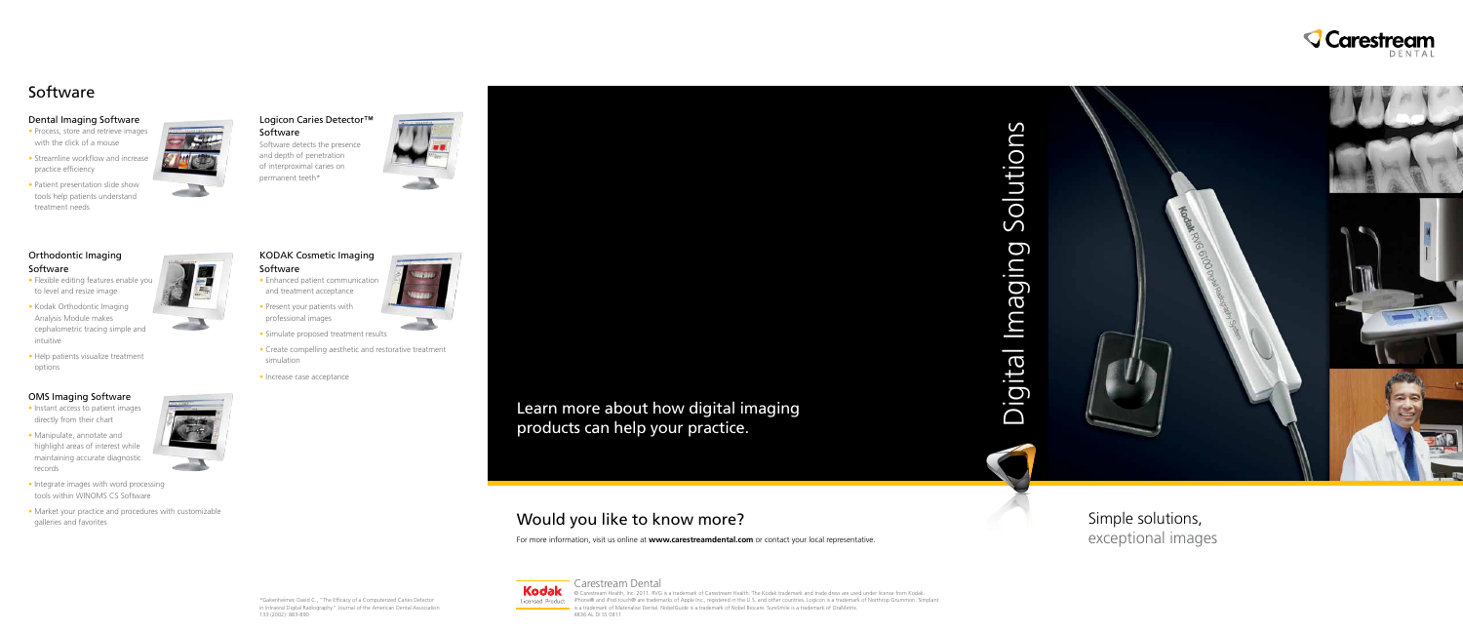

# Would you like to know more?

For more information, visit us online at **www.carestreamdental.com** or contact your local representative.

Simple solutions, exceptional images

### Dental Imaging Software

- Process, store and retrieve images with the click of a mouse
- Streamline workflow and increase practice efficiency
- Patient presentation slide show tools help patients understand treatment needs



# Orthodontic Imaging Software

- Flexible editing features enable you to level and resize image
- Kodak Orthodontic Imaging Analysis Module makes cephalometric tracing simple and intuitive
- Help patients visualize treatment options

# OMS Imaging Software

- Instant access to patient images directly from their chart
- Manipulate, annotate and highlight areas of interest while maintaining accurate diagnostic records
- Integrate images with word processing tools within WINOMS CS Software
- Market your practice and procedures with customizable galleries and favorites



## Logicon Caries Detector™ Software

Software detects the presence and depth of penetration of interproximal caries on permanent teeth\*



- KODAK Cosmetic Imaging Software
- Enhanced patient communication and treatment acceptance
- Present your patients with professional images
- Simulate proposed treatment results
- Create compelling aesthetic and restorative treatment simulation
- Increase case acceptance

\*Gakenheimer, David C., "The Efficacy of a Computerized Caries Detector in Intraoral Digital Radiography." Journal of the American Dental Association 133 (2002): 883-890





# Software



© Carestream Health, Inc. 2011. RVG is a trademark of Carestream Health. The Kodak trademark and trade dress are used under license from Kodak. Licensed Product iPhone® and iPod touch® are trademarks of Apple Inc., registered in the U.S. and other countries. Logicon is a trademark of Northrop Grummon. Simplant is a trademark of Materialise Dental. NobelGuide is a trademark of Nobel Biocare. SureSmile is a trademark of OraMetrix.